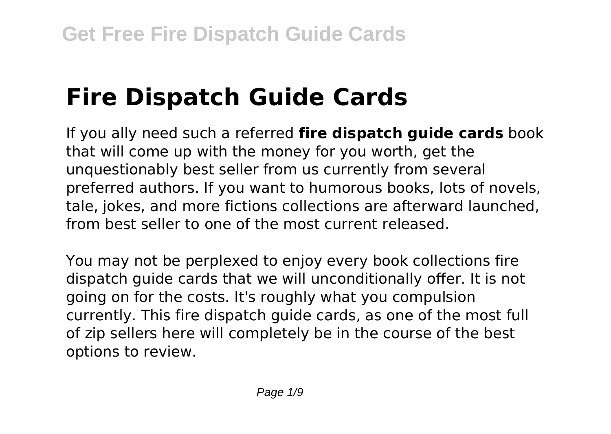# **Fire Dispatch Guide Cards**

If you ally need such a referred **fire dispatch guide cards** book that will come up with the money for you worth, get the unquestionably best seller from us currently from several preferred authors. If you want to humorous books, lots of novels, tale, jokes, and more fictions collections are afterward launched, from best seller to one of the most current released.

You may not be perplexed to enjoy every book collections fire dispatch guide cards that we will unconditionally offer. It is not going on for the costs. It's roughly what you compulsion currently. This fire dispatch guide cards, as one of the most full of zip sellers here will completely be in the course of the best options to review.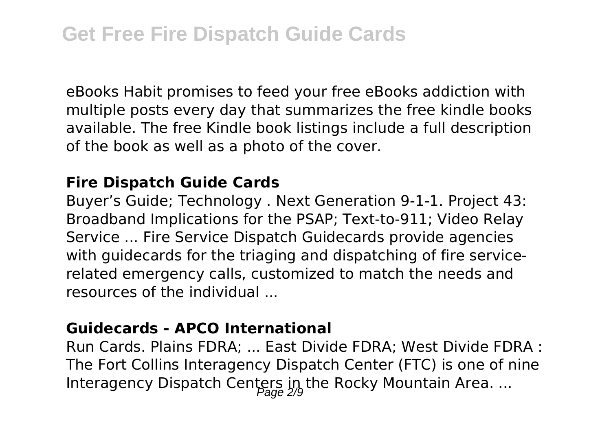eBooks Habit promises to feed your free eBooks addiction with multiple posts every day that summarizes the free kindle books available. The free Kindle book listings include a full description of the book as well as a photo of the cover.

#### **Fire Dispatch Guide Cards**

Buyer's Guide; Technology . Next Generation 9-1-1. Project 43: Broadband Implications for the PSAP; Text-to-911; Video Relay Service ... Fire Service Dispatch Guidecards provide agencies with guidecards for the triaging and dispatching of fire servicerelated emergency calls, customized to match the needs and resources of the individual ...

### **Guidecards - APCO International**

Run Cards. Plains FDRA; ... East Divide FDRA; West Divide FDRA : The Fort Collins Interagency Dispatch Center (FTC) is one of nine Interagency Dispatch Centers in the Rocky Mountain Area. ...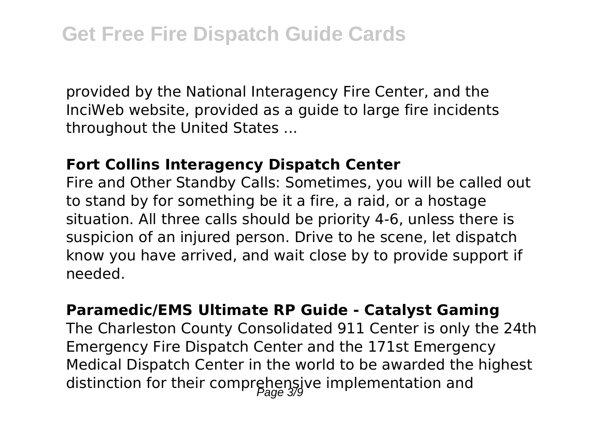provided by the National Interagency Fire Center, and the InciWeb website, provided as a guide to large fire incidents throughout the United States ...

#### **Fort Collins Interagency Dispatch Center**

Fire and Other Standby Calls: Sometimes, you will be called out to stand by for something be it a fire, a raid, or a hostage situation. All three calls should be priority 4-6, unless there is suspicion of an injured person. Drive to he scene, let dispatch know you have arrived, and wait close by to provide support if needed.

#### **Paramedic/EMS Ultimate RP Guide - Catalyst Gaming**

The Charleston County Consolidated 911 Center is only the 24th Emergency Fire Dispatch Center and the 171st Emergency Medical Dispatch Center in the world to be awarded the highest distinction for their comprehensive implementation and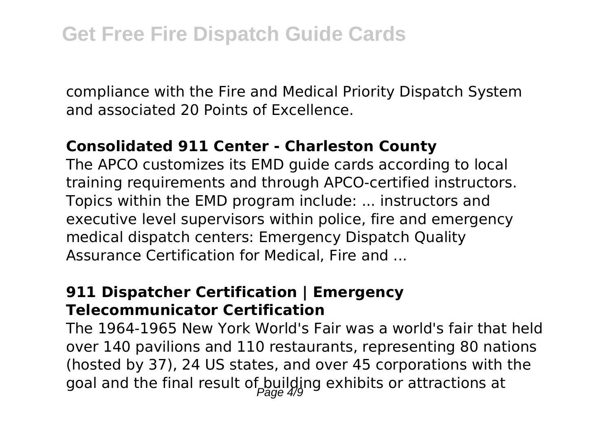compliance with the Fire and Medical Priority Dispatch System and associated 20 Points of Excellence.

#### **Consolidated 911 Center - Charleston County**

The APCO customizes its EMD guide cards according to local training requirements and through APCO-certified instructors. Topics within the EMD program include: ... instructors and executive level supervisors within police, fire and emergency medical dispatch centers: Emergency Dispatch Quality Assurance Certification for Medical, Fire and ...

### **911 Dispatcher Certification | Emergency Telecommunicator Certification**

The 1964-1965 New York World's Fair was a world's fair that held over 140 pavilions and 110 restaurants, representing 80 nations (hosted by 37), 24 US states, and over 45 corporations with the goal and the final result of building exhibits or attractions at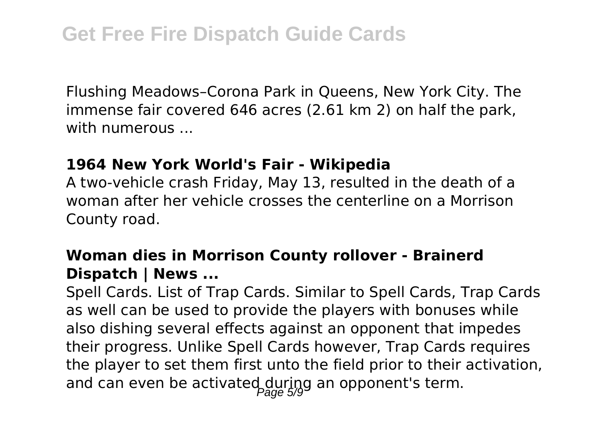Flushing Meadows–Corona Park in Queens, New York City. The immense fair covered 646 acres (2.61 km 2) on half the park, with numerous ...

#### **1964 New York World's Fair - Wikipedia**

A two-vehicle crash Friday, May 13, resulted in the death of a woman after her vehicle crosses the centerline on a Morrison County road.

### **Woman dies in Morrison County rollover - Brainerd Dispatch | News ...**

Spell Cards. List of Trap Cards. Similar to Spell Cards, Trap Cards as well can be used to provide the players with bonuses while also dishing several effects against an opponent that impedes their progress. Unlike Spell Cards however, Trap Cards requires the player to set them first unto the field prior to their activation, and can even be activated during an opponent's term.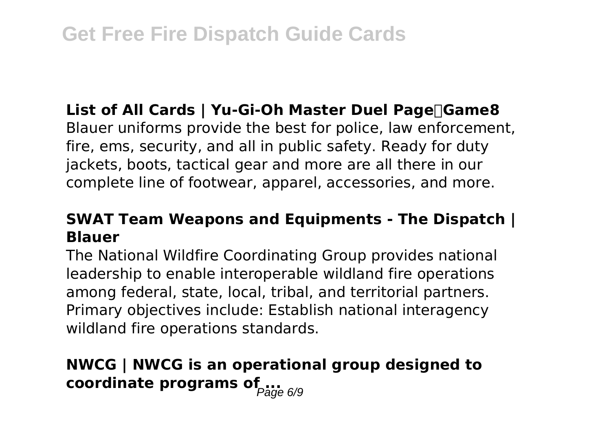## **List of All Cards | Yu-Gi-Oh Master Duel Page|Game8**

Blauer uniforms provide the best for police, law enforcement, fire, ems, security, and all in public safety. Ready for duty jackets, boots, tactical gear and more are all there in our complete line of footwear, apparel, accessories, and more.

## **SWAT Team Weapons and Equipments - The Dispatch | Blauer**

The National Wildfire Coordinating Group provides national leadership to enable interoperable wildland fire operations among federal, state, local, tribal, and territorial partners. Primary objectives include: Establish national interagency wildland fire operations standards.

## **NWCG | NWCG is an operational group designed to coordinate programs of ...**<br> **coordinate programs of**  $_{Page\ 6/9}$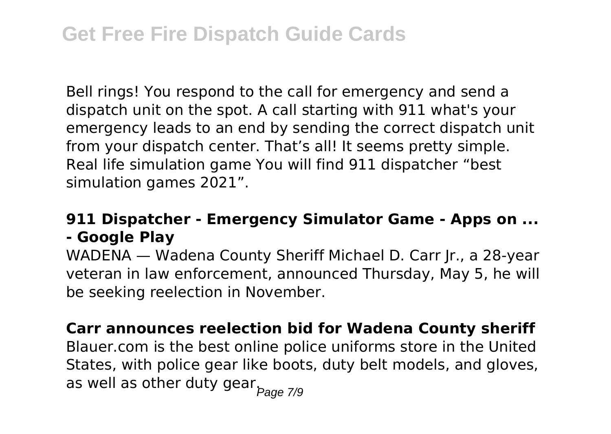Bell rings! You respond to the call for emergency and send a dispatch unit on the spot. A call starting with 911 what's your emergency leads to an end by sending the correct dispatch unit from your dispatch center. That's all! It seems pretty simple. Real life simulation game You will find 911 dispatcher "best simulation games 2021".

## **911 Dispatcher - Emergency Simulator Game - Apps on ... - Google Play**

WADENA — Wadena County Sheriff Michael D. Carr Jr., a 28-year veteran in law enforcement, announced Thursday, May 5, he will be seeking reelection in November.

#### **Carr announces reelection bid for Wadena County sheriff**

Blauer.com is the best online police uniforms store in the United States, with police gear like boots, duty belt models, and gloves, as well as other duty gear. $P_{\text{age } 7/9}$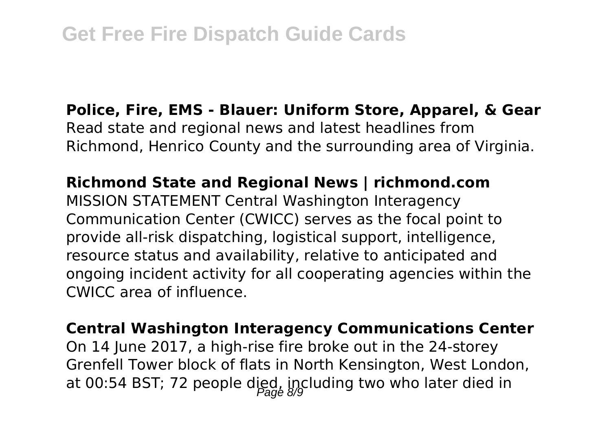### **Police, Fire, EMS - Blauer: Uniform Store, Apparel, & Gear** Read state and regional news and latest headlines from Richmond, Henrico County and the surrounding area of Virginia.

## **Richmond State and Regional News | richmond.com**

MISSION STATEMENT Central Washington Interagency Communication Center (CWICC) serves as the focal point to provide all-risk dispatching, logistical support, intelligence, resource status and availability, relative to anticipated and ongoing incident activity for all cooperating agencies within the CWICC area of influence.

#### **Central Washington Interagency Communications Center**

On 14 June 2017, a high-rise fire broke out in the 24-storey Grenfell Tower block of flats in North Kensington, West London, at 00:54 BST; 72 people died, including two who later died in